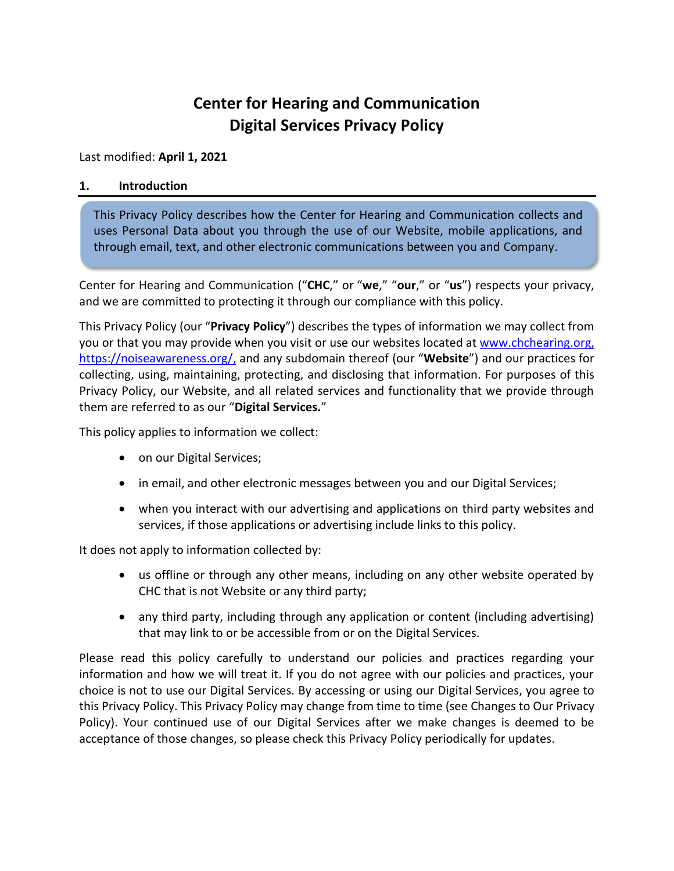# **Center for Hearing and Communication Digital Services Privacy Policy**

#### Last modified: **April 1, 2021**

#### **1. Introduction**

This Privacy Policy describes how the Center for Hearing and Communication collects and uses Personal Data about you through the use of our Website, mobile applications, and through email, text, and other electronic communications between you and Company.

Center for Hearing and Communication ("**CHC**," or "**we**," "**our**," or "**us**") respects your privacy, and we are committed to protecting it through our compliance with this policy.

This Privacy Policy (our "**Privacy Policy**") describes the types of information we may collect from you or that you may provide when you visit or use our websites located at [www.chchearing.org,](http://www.chchearing.org/) [https://noiseawareness.org/,](https://noiseawareness.org/) and any subdomain thereof (our "**Website**") and our practices for collecting, using, maintaining, protecting, and disclosing that information. For purposes of this Privacy Policy, our Website, and all related services and functionality that we provide through them are referred to as our "**Digital Services.**"

This policy applies to information we collect:

- on our Digital Services;
- in email, and other electronic messages between you and our Digital Services;
- when you interact with our advertising and applications on third party websites and services, if those applications or advertising include links to this policy.

It does not apply to information collected by:

- us offline or through any other means, including on any other website operated by CHC that is not Website or any third party;
- any third party, including through any application or content (including advertising) that may link to or be accessible from or on the Digital Services.

Please read this policy carefully to understand our policies and practices regarding your information and how we will treat it. If you do not agree with our policies and practices, your choice is not to use our Digital Services. By accessing or using our Digital Services, you agree to this Privacy Policy. This Privacy Policy may change from time to time (see Changes to Our Privacy Policy). Your continued use of our Digital Services after we make changes is deemed to be acceptance of those changes, so please check this Privacy Policy periodically for updates.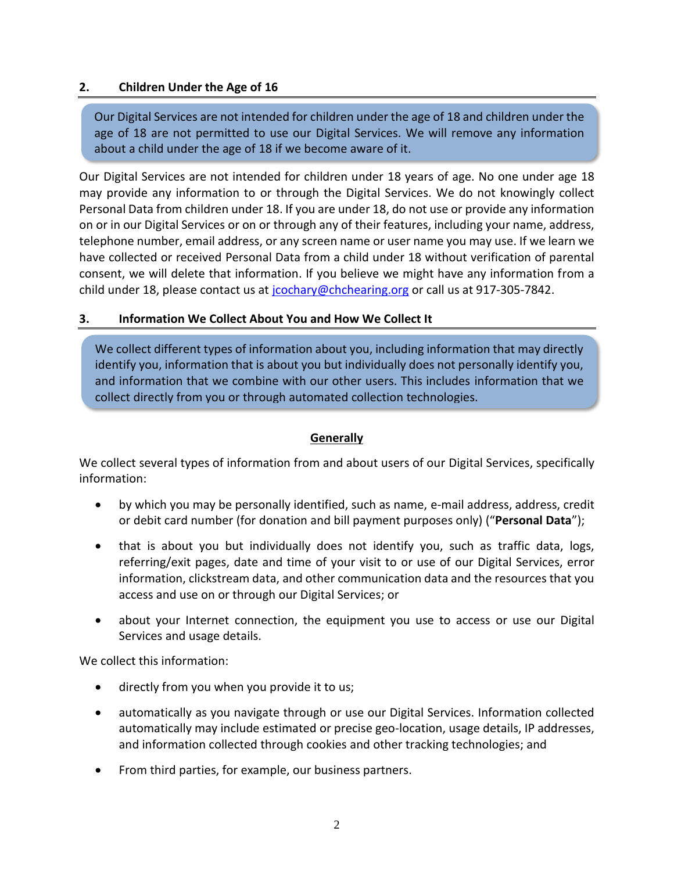#### **2. Children Under the Age of 16**

Our Digital Services are not intended for children under the age of 18 and children under the age of 18 are not permitted to use our Digital Services. We will remove any information about a child under the age of 18 if we become aware of it.

Our Digital Services are not intended for children under 18 years of age. No one under age 18 may provide any information to or through the Digital Services. We do not knowingly collect Personal Data from children under 18. If you are under 18, do not use or provide any information on or in our Digital Services or on or through any of their features, including your name, address, telephone number, email address, or any screen name or user name you may use. If we learn we have collected or received Personal Data from a child under 18 without verification of parental consent, we will delete that information. If you believe we might have any information from a child under 18, please contact us at [jcochary@chchearing.org](mailto:jcochary@chchearing.org) or call us at 917-305-7842.

#### **3. Information We Collect About You and How We Collect It**

We collect different types of information about you, including information that may directly identify you, information that is about you but individually does not personally identify you, and information that we combine with our other users. This includes information that we collect directly from you or through automated collection technologies.

## **Generally**

We collect several types of information from and about users of our Digital Services, specifically information:

- by which you may be personally identified, such as name, e-mail address, address, credit or debit card number (for donation and bill payment purposes only) ("**Personal Data**");
- that is about you but individually does not identify you, such as traffic data, logs, referring/exit pages, date and time of your visit to or use of our Digital Services, error information, clickstream data, and other communication data and the resources that you access and use on or through our Digital Services; or
- about your Internet connection, the equipment you use to access or use our Digital Services and usage details.

We collect this information:

- directly from you when you provide it to us;
- automatically as you navigate through or use our Digital Services. Information collected automatically may include estimated or precise geo-location, usage details, IP addresses, and information collected through cookies and other tracking technologies; and
- From third parties, for example, our business partners.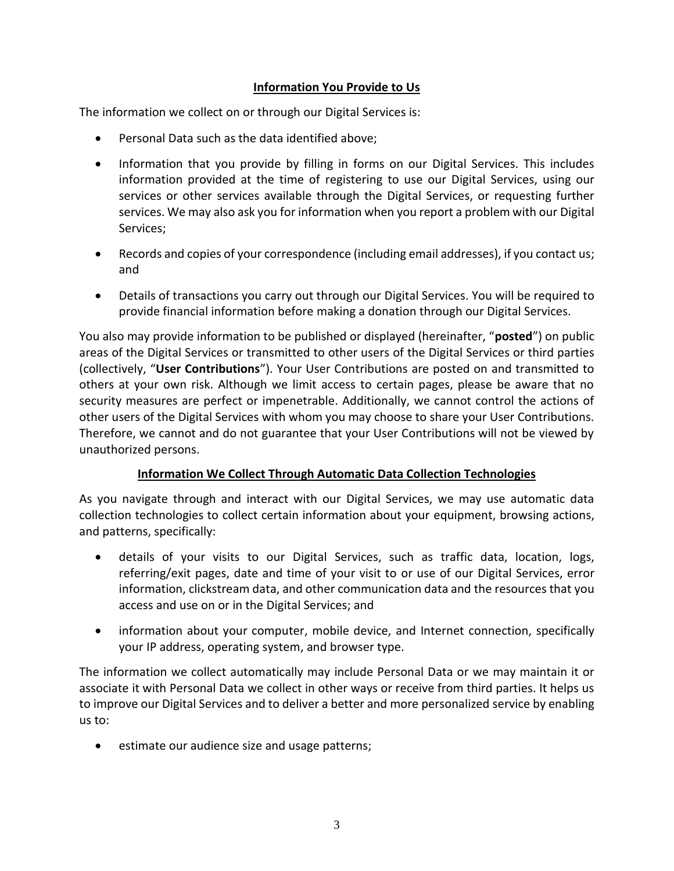## **Information You Provide to Us**

The information we collect on or through our Digital Services is:

- Personal Data such as the data identified above;
- Information that you provide by filling in forms on our Digital Services. This includes information provided at the time of registering to use our Digital Services, using our services or other services available through the Digital Services, or requesting further services. We may also ask you for information when you report a problem with our Digital Services;
- Records and copies of your correspondence (including email addresses), if you contact us; and
- Details of transactions you carry out through our Digital Services. You will be required to provide financial information before making a donation through our Digital Services.

You also may provide information to be published or displayed (hereinafter, "**posted**") on public areas of the Digital Services or transmitted to other users of the Digital Services or third parties (collectively, "**User Contributions**"). Your User Contributions are posted on and transmitted to others at your own risk. Although we limit access to certain pages, please be aware that no security measures are perfect or impenetrable. Additionally, we cannot control the actions of other users of the Digital Services with whom you may choose to share your User Contributions. Therefore, we cannot and do not guarantee that your User Contributions will not be viewed by unauthorized persons.

## **Information We Collect Through Automatic Data Collection Technologies**

As you navigate through and interact with our Digital Services, we may use automatic data collection technologies to collect certain information about your equipment, browsing actions, and patterns, specifically:

- details of your visits to our Digital Services, such as traffic data, location, logs, referring/exit pages, date and time of your visit to or use of our Digital Services, error information, clickstream data, and other communication data and the resources that you access and use on or in the Digital Services; and
- information about your computer, mobile device, and Internet connection, specifically your IP address, operating system, and browser type.

The information we collect automatically may include Personal Data or we may maintain it or associate it with Personal Data we collect in other ways or receive from third parties. It helps us to improve our Digital Services and to deliver a better and more personalized service by enabling us to:

estimate our audience size and usage patterns;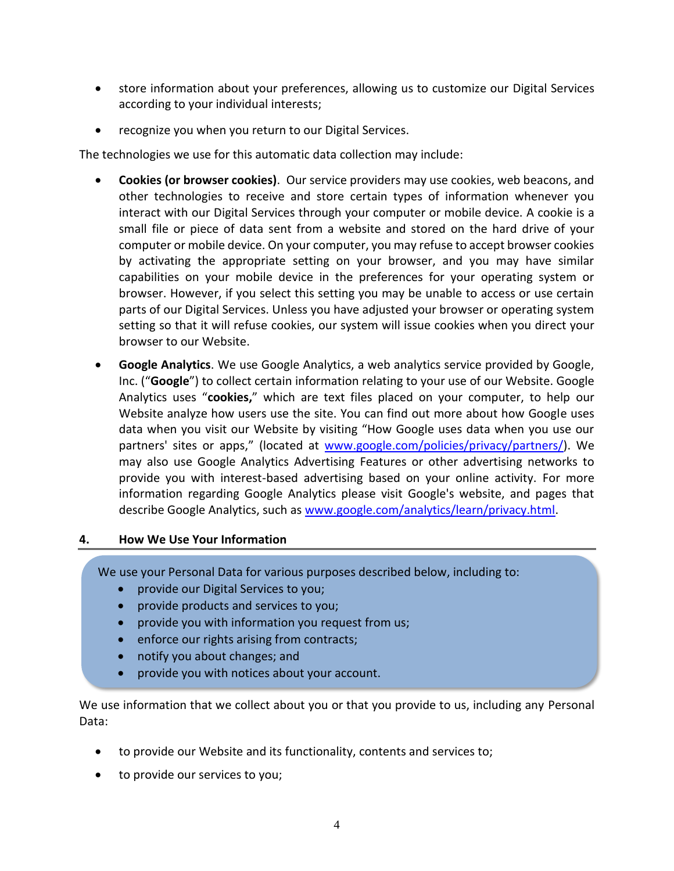- store information about your preferences, allowing us to customize our Digital Services according to your individual interests;
- recognize you when you return to our Digital Services.

The technologies we use for this automatic data collection may include:

- **Cookies (or browser cookies)**. Our service providers may use cookies, web beacons, and other technologies to receive and store certain types of information whenever you interact with our Digital Services through your computer or mobile device. A cookie is a small file or piece of data sent from a website and stored on the hard drive of your computer or mobile device. On your computer, you may refuse to accept browser cookies by activating the appropriate setting on your browser, and you may have similar capabilities on your mobile device in the preferences for your operating system or browser. However, if you select this setting you may be unable to access or use certain parts of our Digital Services. Unless you have adjusted your browser or operating system setting so that it will refuse cookies, our system will issue cookies when you direct your browser to our Website.
- **Google Analytics**. We use Google Analytics, a web analytics service provided by Google, Inc. ("**Google**") to collect certain information relating to your use of our Website. Google Analytics uses "**cookies,**" which are text files placed on your computer, to help our Website analyze how users use the site. You can find out more about how Google uses data when you visit our Website by visiting "How Google uses data when you use our partners' sites or apps," (located at [www.google.com/policies/privacy/partners/\)](http://www.google.com/policies/privacy/partners/). We may also use Google Analytics Advertising Features or other advertising networks to provide you with interest-based advertising based on your online activity. For more information regarding Google Analytics please visit Google's website, and pages that describe Google Analytics, such as [www.google.com/analytics/learn/privacy.html.](http://www.google.com/analytics/learn/privacy.html)

#### **4. How We Use Your Information**

We use your Personal Data for various purposes described below, including to:

- provide our Digital Services to you;
- provide products and services to you;
- provide you with information you request from us;
- enforce our rights arising from contracts;
- notify you about changes; and
- provide you with notices about your account.

We use information that we collect about you or that you provide to us, including any Personal Data:

- to provide our Website and its functionality, contents and services to;
- to provide our services to you;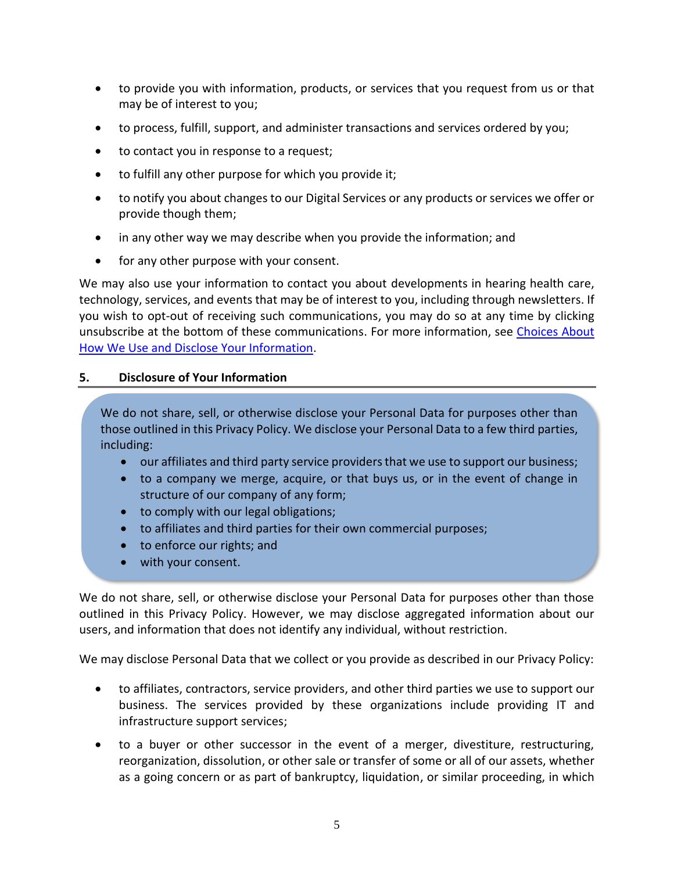- to provide you with information, products, or services that you request from us or that may be of interest to you;
- to process, fulfill, support, and administer transactions and services ordered by you;
- to contact you in response to a request;
- to fulfill any other purpose for which you provide it;
- to notify you about changes to our Digital Services or any products or services we offer or provide though them;
- in any other way we may describe when you provide the information; and
- for any other purpose with your consent.

We may also use your information to contact you about developments in hearing health care, technology, services, and events that may be of interest to you, including through newsletters. If you wish to opt-out of receiving such communications, you may do so at any time by clicking unsubscribe at the bottom of these communications. For more information, see [Choices About](#page-5-0)  [How We Use and Disclose Your Information.](#page-5-0)

#### **5. Disclosure of Your Information**

We do not share, sell, or otherwise disclose your Personal Data for purposes other than those outlined in this Privacy Policy. We disclose your Personal Data to a few third parties, including:

- our affiliates and third party service providers that we use to support our business;
- to a company we merge, acquire, or that buys us, or in the event of change in structure of our company of any form;
- to comply with our legal obligations;
- to affiliates and third parties for their own commercial purposes;
- to enforce our rights; and
- with your consent.

We do not share, sell, or otherwise disclose your Personal Data for purposes other than those outlined in this Privacy Policy. However, we may disclose aggregated information about our users, and information that does not identify any individual, without restriction.

We may disclose Personal Data that we collect or you provide as described in our Privacy Policy:

- to affiliates, contractors, service providers, and other third parties we use to support our business. The services provided by these organizations include providing IT and infrastructure support services;
- to a buyer or other successor in the event of a merger, divestiture, restructuring, reorganization, dissolution, or other sale or transfer of some or all of our assets, whether as a going concern or as part of bankruptcy, liquidation, or similar proceeding, in which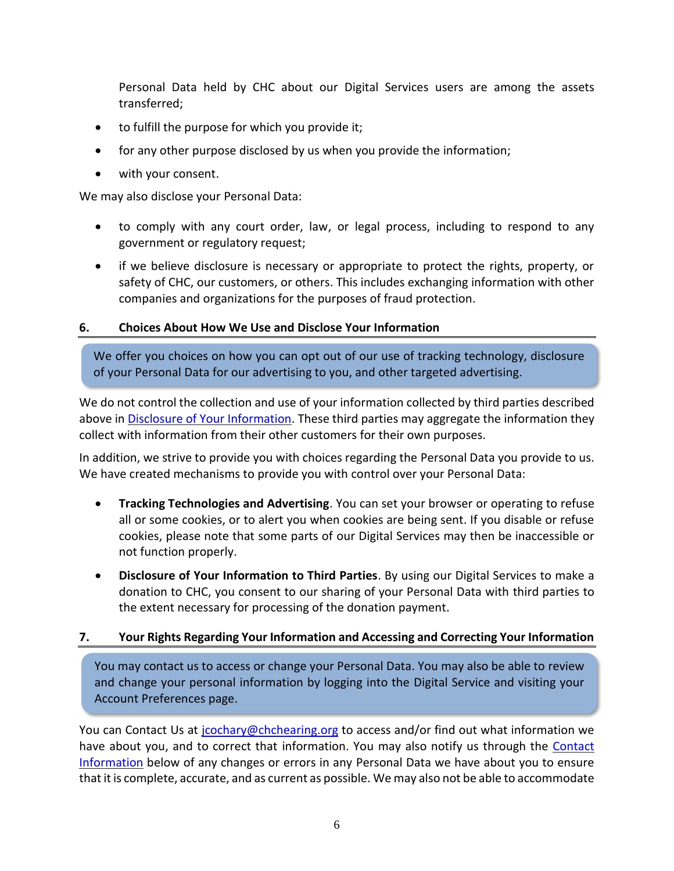Personal Data held by CHC about our Digital Services users are among the assets transferred;

- to fulfill the purpose for which you provide it;
- for any other purpose disclosed by us when you provide the information;
- with your consent.

We may also disclose your Personal Data:

- to comply with any court order, law, or legal process, including to respond to any government or regulatory request;
- if we believe disclosure is necessary or appropriate to protect the rights, property, or safety of CHC, our customers, or others. This includes exchanging information with other companies and organizations for the purposes of fraud protection.

#### <span id="page-5-0"></span>**6. Choices About How We Use and Disclose Your Information**

We offer you choices on how you can opt out of our use of tracking technology, disclosure of your Personal Data for our advertising to you, and other targeted advertising.

We do not control the collection and use of your information collected by third parties described above in Disclosure of Your Information. These third parties may aggregate the information they collect with information from their other customers for their own purposes.

In addition, we strive to provide you with choices regarding the Personal Data you provide to us. We have created mechanisms to provide you with control over your Personal Data:

- **Tracking Technologies and Advertising**. You can set your browser or operating to refuse all or some cookies, or to alert you when cookies are being sent. If you disable or refuse cookies, please note that some parts of our Digital Services may then be inaccessible or not function properly.
- **Disclosure of Your Information to Third Parties**. By using our Digital Services to make a donation to CHC, you consent to our sharing of your Personal Data with third parties to the extent necessary for processing of the donation payment.

## **7. Your Rights Regarding Your Information and Accessing and Correcting Your Information**

You may contact us to access or change your Personal Data. You may also be able to review and change your personal information by logging into the Digital Service and visiting your Account Preferences page.

You can Contact Us at [jcochary@chchearing.org](mailto:jcochary@chchearing.org) to access and/or find out what information we have about you, and to correct that information. You may also notify us through the Contact Information below of any changes or errors in any Personal Data we have about you to ensure that it is complete, accurate, and as current as possible. We may also not be able to accommodate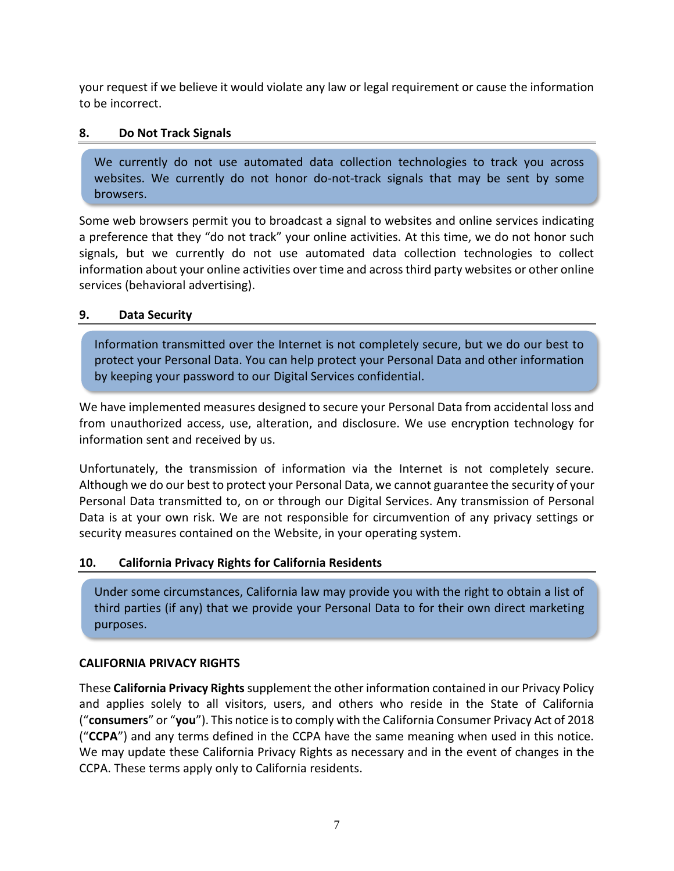your request if we believe it would violate any law or legal requirement or cause the information to be incorrect.

## **8. Do Not Track Signals**

We currently do not use automated data collection technologies to track you across websites. We currently do not honor do-not-track signals that may be sent by some browsers.

Some web browsers permit you to broadcast a signal to websites and online services indicating a preference that they "do not track" your online activities. At this time, we do not honor such signals, but we currently do not use automated data collection technologies to collect information about your online activities over time and across third party websites or other online services (behavioral advertising).

## **9. Data Security**

Information transmitted over the Internet is not completely secure, but we do our best to protect your Personal Data. You can help protect your Personal Data and other information by keeping your password to our Digital Services confidential.

We have implemented measures designed to secure your Personal Data from accidental loss and from unauthorized access, use, alteration, and disclosure. We use encryption technology for information sent and received by us.

Unfortunately, the transmission of information via the Internet is not completely secure. Although we do our best to protect your Personal Data, we cannot guarantee the security of your Personal Data transmitted to, on or through our Digital Services. Any transmission of Personal Data is at your own risk. We are not responsible for circumvention of any privacy settings or security measures contained on the Website, in your operating system.

# **10. California Privacy Rights for California Residents**

Under some circumstances, California law may provide you with the right to obtain a list of third parties (if any) that we provide your Personal Data to for their own direct marketing purposes.

## **CALIFORNIA PRIVACY RIGHTS**

These **California Privacy Rights** supplement the other information contained in our Privacy Policy and applies solely to all visitors, users, and others who reside in the State of California ("**consumers**" or "**you**"). This notice is to comply with the California Consumer Privacy Act of 2018 ("**CCPA**") and any terms defined in the CCPA have the same meaning when used in this notice. We may update these California Privacy Rights as necessary and in the event of changes in the CCPA. These terms apply only to California residents.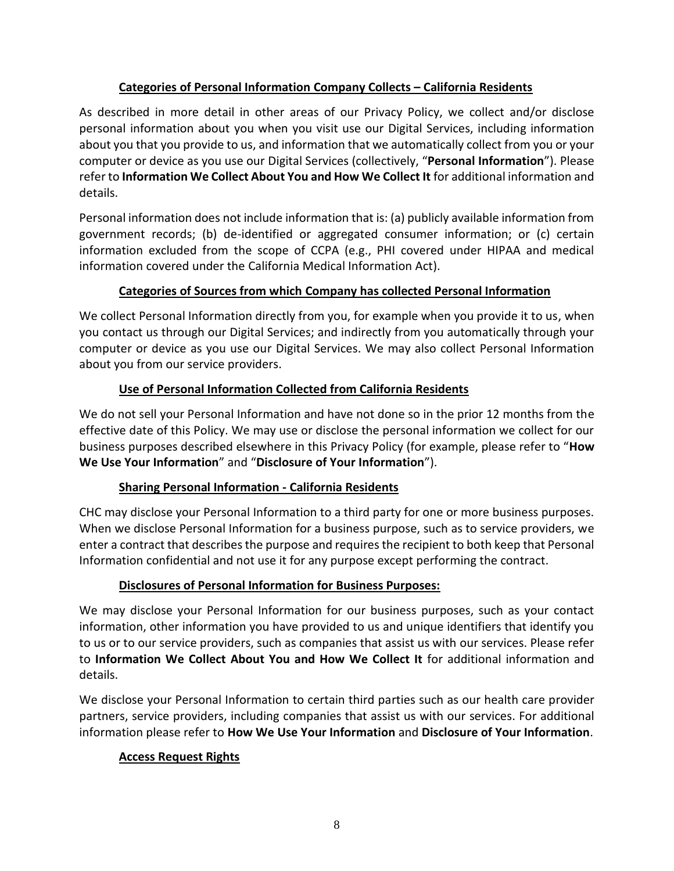# **Categories of Personal Information Company Collects – California Residents**

As described in more detail in other areas of our Privacy Policy, we collect and/or disclose personal information about you when you visit use our Digital Services, including information about you that you provide to us, and information that we automatically collect from you or your computer or device as you use our Digital Services (collectively, "**Personal Information**"). Please refer to **Information We Collect About You and How We Collect It** for additional information and details.

Personal information does not include information that is: (a) publicly available information from government records; (b) de-identified or aggregated consumer information; or (c) certain information excluded from the scope of CCPA (e.g., PHI covered under HIPAA and medical information covered under the California Medical Information Act).

# **Categories of Sources from which Company has collected Personal Information**

We collect Personal Information directly from you, for example when you provide it to us, when you contact us through our Digital Services; and indirectly from you automatically through your computer or device as you use our Digital Services. We may also collect Personal Information about you from our service providers.

# **Use of Personal Information Collected from California Residents**

We do not sell your Personal Information and have not done so in the prior 12 months from the effective date of this Policy. We may use or disclose the personal information we collect for our business purposes described elsewhere in this Privacy Policy (for example, please refer to "**How We Use Your Information**" and "**Disclosure of Your Information**").

# **Sharing Personal Information - California Residents**

CHC may disclose your Personal Information to a third party for one or more business purposes. When we disclose Personal Information for a business purpose, such as to service providers, we enter a contract that describes the purpose and requires the recipient to both keep that Personal Information confidential and not use it for any purpose except performing the contract.

# **Disclosures of Personal Information for Business Purposes:**

We may disclose your Personal Information for our business purposes, such as your contact information, other information you have provided to us and unique identifiers that identify you to us or to our service providers, such as companies that assist us with our services. Please refer to **Information We Collect About You and How We Collect It** for additional information and details.

We disclose your Personal Information to certain third parties such as our health care provider partners, service providers, including companies that assist us with our services. For additional information please refer to **How We Use Your Information** and **Disclosure of Your Information**.

# **Access Request Rights**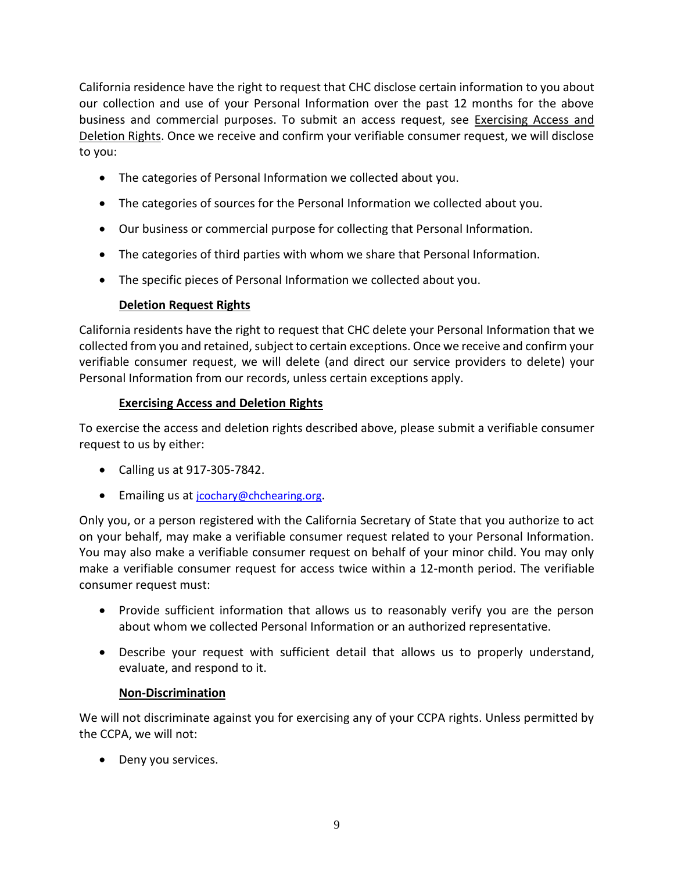California residence have the right to request that CHC disclose certain information to you about our collection and use of your Personal Information over the past 12 months for the above business and commercial purposes. To submit an access request, see [Exercising Access and](#page-8-0)  [Deletion Rights.](#page-8-0) Once we receive and confirm your verifiable consumer request, we will disclose to you:

- The categories of Personal Information we collected about you.
- The categories of sources for the Personal Information we collected about you.
- Our business or commercial purpose for collecting that Personal Information.
- The categories of third parties with whom we share that Personal Information.
- The specific pieces of Personal Information we collected about you.

# **Deletion Request Rights**

California residents have the right to request that CHC delete your Personal Information that we collected from you and retained, subject to certain exceptions. Once we receive and confirm your verifiable consumer request, we will delete (and direct our service providers to delete) your Personal Information from our records, unless certain exceptions apply.

# **Exercising Access and Deletion Rights**

<span id="page-8-0"></span>To exercise the access and deletion rights described above, please submit a verifiable consumer request to us by either:

- Calling us at 917-305-7842.
- Emailing us at [jcochary@chchearing.org](mailto:jcochary@chchearing.org).

Only you, or a person registered with the California Secretary of State that you authorize to act on your behalf, may make a verifiable consumer request related to your Personal Information. You may also make a verifiable consumer request on behalf of your minor child. You may only make a verifiable consumer request for access twice within a 12-month period. The verifiable consumer request must:

- Provide sufficient information that allows us to reasonably verify you are the person about whom we collected Personal Information or an authorized representative.
- Describe your request with sufficient detail that allows us to properly understand, evaluate, and respond to it.

# **Non-Discrimination**

We will not discriminate against you for exercising any of your CCPA rights. Unless permitted by the CCPA, we will not:

• Deny you services.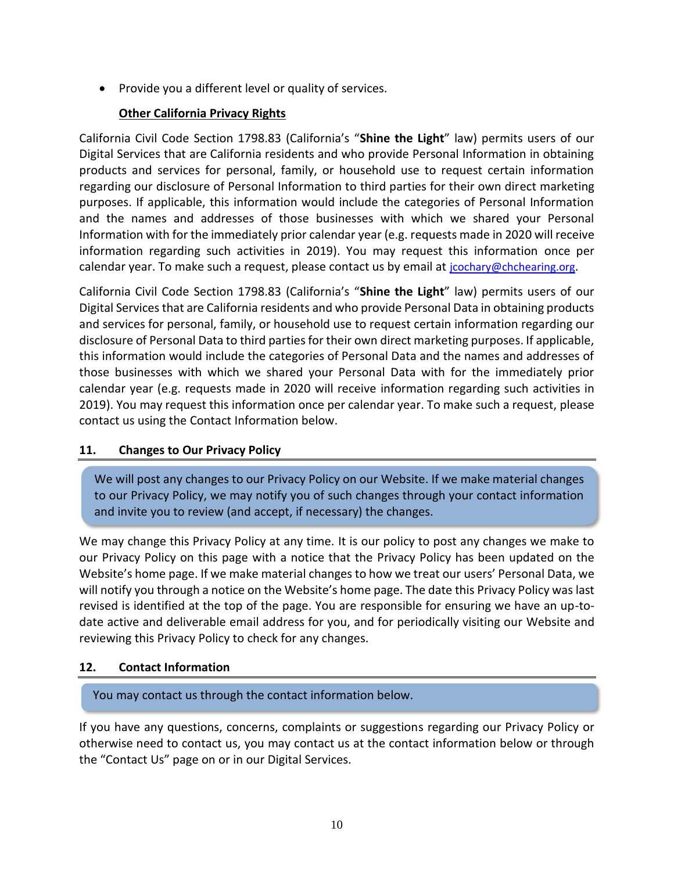• Provide you a different level or quality of services.

## **Other California Privacy Rights**

California Civil Code Section 1798.83 (California's "**Shine the Light**" law) permits users of our Digital Services that are California residents and who provide Personal Information in obtaining products and services for personal, family, or household use to request certain information regarding our disclosure of Personal Information to third parties for their own direct marketing purposes. If applicable, this information would include the categories of Personal Information and the names and addresses of those businesses with which we shared your Personal Information with for the immediately prior calendar year (e.g. requests made in 2020 will receive information regarding such activities in 2019). You may request this information once per calendar year. To make such a request, please contact us by email at [jcochary@chchearing.org](mailto:jcochary@chchearing.org).

California Civil Code Section 1798.83 (California's "**Shine the Light**" law) permits users of our Digital Servicesthat are California residents and who provide Personal Data in obtaining products and services for personal, family, or household use to request certain information regarding our disclosure of Personal Data to third parties for their own direct marketing purposes. If applicable, this information would include the categories of Personal Data and the names and addresses of those businesses with which we shared your Personal Data with for the immediately prior calendar year (e.g. requests made in 2020 will receive information regarding such activities in 2019). You may request this information once per calendar year. To make such a request, please contact us using the Contact Information below.

## **11. Changes to Our Privacy Policy**

We will post any changes to our Privacy Policy on our Website. If we make material changes to our Privacy Policy, we may notify you of such changes through your contact information and invite you to review (and accept, if necessary) the changes.

We may change this Privacy Policy at any time. It is our policy to post any changes we make to our Privacy Policy on this page with a notice that the Privacy Policy has been updated on the Website's home page. If we make material changes to how we treat our users' Personal Data, we will notify you through a notice on the Website's home page. The date this Privacy Policy was last revised is identified at the top of the page. You are responsible for ensuring we have an up-todate active and deliverable email address for you, and for periodically visiting our Website and reviewing this Privacy Policy to check for any changes.

## **12. Contact Information**

You may contact us through the contact information below.

If you have any questions, concerns, complaints or suggestions regarding our Privacy Policy or otherwise need to contact us, you may contact us at the contact information below or through the "Contact Us" page on or in our Digital Services.